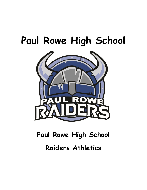# **Paul Rowe High School**



# **Paul Rowe High School Raiders Athletics**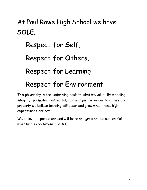# At Paul Rowe High School we have **SOLE**; Respect for **S**elf, Respect for **O**thers, Respect for **L**earning Respect for **E**nvironment.

This philosophy is the underlying basis to what we value. By modeling integrity, promoting respectful, fair and just behaviour to others and property we believe learning will occur and grow when these high expectations are set.

We believe all people can and will learn and grow and be successful when high expectations are set.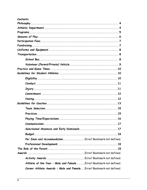| Contents                                                             |
|----------------------------------------------------------------------|
|                                                                      |
|                                                                      |
|                                                                      |
|                                                                      |
|                                                                      |
|                                                                      |
|                                                                      |
|                                                                      |
|                                                                      |
|                                                                      |
|                                                                      |
|                                                                      |
|                                                                      |
|                                                                      |
|                                                                      |
|                                                                      |
|                                                                      |
|                                                                      |
|                                                                      |
|                                                                      |
|                                                                      |
|                                                                      |
| Sanctioned Absences and Early Dismissals 17                          |
|                                                                      |
| Per Diem and Accommodation Error! Bookmark not defined.              |
|                                                                      |
|                                                                      |
|                                                                      |
| Activity Awards  Error! Bookmark not defined.                        |
| Athlete of the Year - Male and Female  Error! Bookmark not defined.  |
| Career Athlete Awards - Male and Female Error! Bookmark not defined. |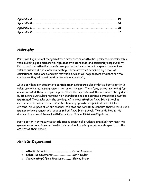# <span id="page-3-0"></span>*Philosophy*

Paul Rowe High School recognizes that extracurricular athletics promotes sportsmanship, team building, good citizenship, high academic standards, and community responsibility. Extracurricular athletics provide an opportunity for students to explore their unique talents outside of the classroom setting. These activities demand a high level of commitment, excellence, and self motivation, which will help prepare students for the challenges they will meet outside the school community.

It is a privilege for students to participate in extracurricular athletics. Participation is voluntary and is not a requirement, nor an entitlement. Therefore, extra time and effort are required of those who participate. Since the reputation of the school is often judged by its extra-curricular programs, high standards and good spirited competitions must be maintained. Those who earn the privilege of representing Paul Rowe High School in extracurricular athletics are expected to accept greater responsibilities as school citizens. We expect all of our coaches, athletes and parents to conduct themselves in such manner to bring honour and respect to Paul Rowe High School. The guidelines in this document are meant to work with Peace River School Division #10 policies.

Participation in extracurricular athletics is open to all students provided they meet the general requirements as outlined in this handbook, and any requirements specific to the activity of their choice.

#### <span id="page-3-1"></span>*Athletic Department*

- Athletic Director ........................................... Coree Asmussen
- School Administrator .................................. Matt Taylor
- o Coordinating Office Treasurer.............. Shirley Bruun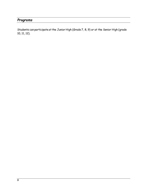#### <span id="page-4-0"></span>*Programs*

Students can participate at the Junior High (Grade 7, 8, 9) or at the Senior High (grade 10, 11, 12).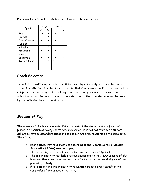|               | Boys |         | Girls |    |
|---------------|------|---------|-------|----|
| Sport         | Jr   | Sr      | Jr    | Sr |
| Golf          |      |         |       |    |
| Football      |      | $\star$ |       |    |
| Cross Country |      |         |       |    |
| Running       |      |         |       |    |
| Volleyball    |      |         |       |    |
| Basketball    |      |         |       |    |
| Curling       |      |         |       |    |
| Badminton     |      |         |       |    |
| Track & Field |      |         |       |    |
|               |      |         |       |    |
|               |      |         |       |    |

Paul Rowe High School facilitates the following athletic activities:

# **Coach Selection**

School staff will be approached first followed by community coaches to coach a team. The athletic director may advertise that Paul Rowe is looking for coaches to complete the coaching staff. At any time, community members are welcome to submit an intent to coach form for consideration. The final decision will be made by the Athletic Director and Principal.

#### <span id="page-5-0"></span>*Seasons of Play*

The seasons of play have been established to protect the student athlete from being placed in a position of having sports seasons overlap. It is not desirable for a student athlete to have to attend practices and games for two or more sports on the same days. Therefore,

- Each activity may hold practices according to the Alberta Schools' Athletic Association (ASAA) seasons of play.
- The preceding activity has priority for practice times and games.
- The trailing activity may hold practices according to the ASAA seasons of play; however, these practices are not to conflict with the team and players of the preceding activity.
- Final cuts for the trailing activity occurs (minimum) 2 practices after the completion of the preceding activity.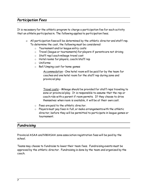#### <span id="page-6-0"></span>*Participation Fees*

It is necessary for the athletic program to charge a participation fee for each activity that an athlete participates in. The following applies to participation fees;

- All participation fees will be determined by the athletic director and staff rep. To determine the cost, the following must be considered:
	- o Tournament and/or league entry costs
	- o Travel (league or tournaments) for players if parents are not driving
	- o Staff rep/coach mileage travel cost
	- o Hotel rooms for players, coach/staff rep
	- o Uniforms
	- o Ref/Umping cost for home games

Accommodation - One hotel room will be paid for by the team for coaches and one hotel room for the staff rep during zone and provincial play

Travel costs – Mileage should be provided for staff reps traveling to zone or provincial play. It is responsible to assume that the rep or coach ride with a parent if room permits. If they choose to drive themselves when room is available, it will be at their own cost.

- o Fees are paid to the athletic director.
- $\circ$  Players must pay fees in full, or make arrangements with the athletic director, before they will be permitted to participate in league games or tournament.

#### <span id="page-6-1"></span>*Fundraising*

Provincial ASAA and NWASAA zone association registration fees will be paid by the school.

Teams may choose to fundraise to lower their team fees. Fundraising events must be approved by the athletic director. Fundraising is done by the team and organized by the coach.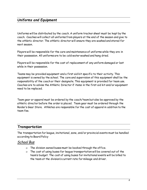#### <span id="page-7-0"></span>*Uniforms and Equipment*

Uniforms will be distributed by the coach. A uniform tracker sheet must be kept by the coach. Coaches will collect all uniforms from players at the end of the season and give to the athletic director. The athletic director will ensure they are washed and stored for next season.

Players will be responsible for the care and maintenance of uniforms while they are in their possession. All uniforms are to be cold water washed and hang dried.

Players will be responsible for the cost of replacement of any uniform damaged or lost while in their possession.

Teams may be provided equipment and a first aid kit specific to their activity. This equipment is owned by the school. The care and supervision of this equipment shall be the responsibility of the coach or their designate. This equipment is provided for team use. Coaches are to advise the Athletic Director if items in the first aid kit and/or equipment need to be replaced.

Team gear or apparel must be ordered by the coach/team but also be approved by the athletic director before the order is placed. Team gear must be ordered through the Raider's Gear Store. Athletes are responsible for the cost of apparel in addition to the team fee.

#### <span id="page-7-1"></span>*Transportation*

The transportation for league, invitational, zone, and/or provincial events must be handled according to Board Policy

#### <span id="page-7-2"></span>*School Bus*

- The division owned buses must be booked through the office.
- The cost of using buses for league transportation will be covered out of the team's budget. The cost of using buses for invitational events will be billed to the team at the division's current rate for mileage and driver.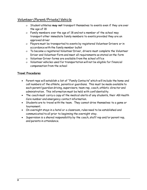# <span id="page-8-0"></span>*Volunteer (Parent/Private) Vehicle*

- Student athletes **may not** transport themselves to events even if they are over the age of 18
- Family members over the age of 18 and not a member of the school may transport other immediate family members to events provided they are an approved driver
- Players must be transported to events by registered Volunteer Drivers or in accordance with the family member bullet
- To become a registered Volunteer Driver, drivers must complete the Volunteer Driver and Volunteer Form and meet all requirements as stated on the form
- Volunteer Driver forms are available from the school office
- Volunteer vehicles used for transportation will not be eligible for financial compensation from the school

#### **Travel Procedures**

- Parent reps will establish a list of "Family Contacts" which will include the home and cell numbers of the athlete, parents or guardians. This must be made available to each parent/guardian driving, supervisors, team rep, coach, athletic director and administration. This information must be held with confidentiality.
- The coach must carry a copy of the medical alerts of any students, their AB Health Care number and emergency contact information.
- Students are to travel with the team. They cannot drive themselves to a game or tournament.
- On overnight stays in a hotel or a classroom, rules need to be established and communicated to all prior to beginning the overnight stay.
- Supervision is a shared responsibility by the coach, staff rep and/or parent rep, and parents in attendance.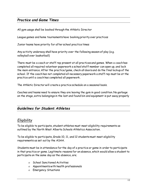#### <span id="page-9-0"></span>*Practice and Game Times*

All gym usage shall be booked through the Athletic Director

League games and home tournaments have booking priority over practices

Junior teams have priority for after school practice times

Any activity underway shall have priority over the following season of play (e.g. volleyball over basketball)

There must be a coach or staff rep present at all practices and games. When a coach has completed all required volunteer paperwork a school staff member can open up, and lock the main entrance. After the practice/game, check all doors and do the final lockup of the school. If the coach has not completed all necessary paperwork a staff rep must be at the practice until a coach has completed all paperwork.

The Athletic Director will create a practice schedule on a seasonal basis.

Coaches and teams need to ensure they are leaving the gym in good condition. No garbage on the stage, extra belongings in the lost and found bin and equipment is put away properly

#### <span id="page-9-1"></span>*Guidelines for Student Athletes*

#### <span id="page-9-2"></span>*Eligibility*

To be eligible to participate, student athletes must meet eligibility requirements as outlined by the North West Alberta Schools Athletics Association.

To be eligible to participate, Grade 10, 11, and 12 students must meet eligibility requirements as set out by the ASAA.

Students must be in attendance for the day of a practice or game in order to participate in that practice or game. Legitimate reasons for an absence, which would allow a student to participate on the same day as the absence, are;

- School Sanctioned Activities
- Appointments with health professionals
- Emergency Situations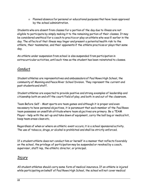Planned absence for personal or educational purposes that have been approved by the school administration.

Students who are absent from classes for a portion of the day due to illness are not eligible to participate by simply making it to the remaining portion of their classes. It may be considered unethical for a coach to practice or play an athlete who was ill earlier in the day. The effects of that illness may linger and present a potential health risk to the athlete, their teammates, and their opponents if the athlete practices or plays that same day.

An athlete under suspension from school is also suspended from participation in extracurricular activities, until such time as the student has been reinstated to classes.

#### <span id="page-10-0"></span>*Conduct*

Student athletes are representatives and ambassadors of Paul Rowe High School, the community of Manning and Peace River School Division. They represent the current and past students and staff.

Student athletes are expected to provide positive and strong examples of leadership and citizenship both on and off the court/field of play, and both in and out of the classroom.

Team Before Self - Most sports are team games and although it is proper and even necessary to have personal objectives, it is paramount that each member of the Paul Rowe team possesses an unselfish attitude where team objectives are primary. Be a TEAM Player – help with the set-up and take down of equipment, carry the ball bag or medical kit, keep team areas clean etc.

Regardless of when or where an athletic event occurs, it is a school sponsored activity. The use of tobacco, drugs, or alcohol is prohibited and shall be strictly enforced.

If a student athlete does not conduct him or herself in a manner that reflects favorably on the school, the privilege of participation may be suspended or revoked by a coach, supervisor, staff rep, the athletic director, or principal.

# <span id="page-10-1"></span>*Injury*

All student athletes should carry some form of medical insurance. If an athlete is injured while participating on behalf of Paul Rowe High School, the school will not cover medical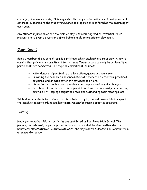costs (e.g. Ambulance costs). It is suggested that any student athlete not having medical coverage, subscribe to the student insurance package which is offered at the beginning of each year.

Any student injured on or off the field of play, and requiring medical attention, must present a note from a physician before being eligible to practice or play again.

#### <span id="page-11-0"></span>*Commitment*

Being a member of any school team is a privilege, which each athlete must earn. A key to earning that privilege is commitment to the team. Team success can only be achieved if all participants are committed. This type of commitment includes;

- Attendance and punctuality at all practices, games and team events.
- Providing the coach with advance notice of absences or lates from practices or games, and an explanation of that absence or late.
- Listen to the coach: accept feedback and be prepared to make changes.
- $\circ$  Be a team player: help with set-up and take down of equipment, carry ball bag, first aid kit, keeping designated areas clean, attending team meetings, etc.

While it is acceptable for a student athlete to have a job, it is not reasonable to expect the coach to accept working as a legitimate reason for missing practice or a game.

# <span id="page-11-1"></span>*Hazing*

Hazing or negative initiation activities are prohibited by Paul Rowe High School. The planning, initiation of, or participation in such activities shall be dealt with under the behavioral expectation of Paul Rowe athletics, and may lead to suspension or removal from a team and or school.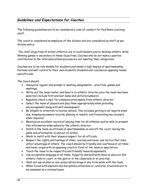# <span id="page-12-0"></span>*Guidelines and Expectations for Coaches*

The following guidelines are to be considered a code of conduct for Paul Rowe coaching staff.

The coach is considered an employee of the division and are considered as staff as per division policy.

The chief objectives of school athletics are to build leaders and to develop athletic skills. Winning games is secondary to these objectives. Coaches who do not make a positive contribution to the total educational process are not meeting their obligations.

Coaches are to be role models for students and model a high degree of sportsmanship, fairness and self-control to their own students, students and coaches on opposing teams and officials.

The Coach should:

- Always be regular and prompt in meeting assignments practices, games and meetings.
- Write out the team roster and hand in to athletic director once the team has been selected (include first and last name and uniform numbers)
- Regularly check e-mail for communication emails from athletic director
- Select the team of players and play them appropriately while providing encouragement along with skill development.
- Be diligent in attention to routine details. This includes getting in all reports when due, keeping necessary records, phoning in results, and forwarding any receipts when required.
- Maintain an excellent record of playing time for all athletes and be able to present this information when asked by the athletic director
- Instill in the team an attitude of sportsmanship on and off the court, during the game and afterwards, in and out of school.
- Work to instill with their players respect for all officials,
- Respect the rights and feelings of other coaches and never use tactics that take unfair advantage of others. The coach should be friendly and courteous at all times and never argue with an opposing coach in front of the team or spectators.
- Teach the team to be respectful and friendly towards opponents.
- Use acceptable language at all times. Vulgarity and profanity have no place on the athletic field or court, in the gym or in the classroom or at practise.
- Shall not use alcohol or non-prescription drugs in any form while with the team.
- When faced with unpredicted disciplinary situations or concerns, situations are to be assessed on a rational basis.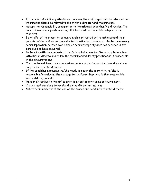- If there is a disciplinary situation or concern, the staff rep should be informed and information should be relayed to the athletic director and the principal.
- Accept the responsibility as a mentor to the athletes under her/his direction. The coach is in a unique position among all school staff in the relationship with the students.
- Be mindful of their position of guardianship entrusted by the athletes and their parents. While acting as a counselor to the athletes, there must also be a necessary social separation, so that over-familiarity or impropriety does not occur or is not perceived to have occurred.
- Be familiar with the contents of the Safety Guidelines for Secondary Interschool Athletics in Alberta and follow the recommended safety practices as is reasonable in the circumstances.
- The coach must have their concussion course completion certificate and provide a copy to the athletic director
- If the coach has a message he/she needs to reach the team with, he/she is responsible for relaying the message to the Parent Rep, who is then responsible with notifying parents
- Hand in driver list to the office prior to an out of town game or tournament.
- Check e-mail regularly to receive draws and important notices
- <span id="page-13-0"></span>Collect team uniforms at the end of the season and hand in to athletic director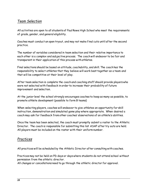#### *Team Selection*

All activities are open to all students of Paul Rowe High School who meet the requirements of grade, gender, and general eligibility.

Coaches must conduct an open tryout, and may not make final cuts until after the second practice.

The number of variables considered in team selection and their relative importance to each other is a complex and subjective process. The coach will endeavor to be fair and transparent in their application of this process with athletes.

Final selections should be based on attitude, coachability, and skill. The coach has the responsibility to select athletes that they believe will work best together as a team and that will be competitive at their level of play.

After team selection is complete the coach and coaching staff should provide players who were not selected with feedback in order to increase their probability of future improvement and selection.

At the junior level the school strongly encourages coaches to keep as many as possible, to promote athlete development (possible to form B teams)

When selecting players, coaches will endeavor to give athletes an opportunity for skill instruction, demonstration and simulated game play where appropriate. When desired a coach may ask for feedback from other coaches' observations of an athlete's abilities.

Once the team has been selected, the coach must promptly submit a roster to the Athletic Director. The coach is responsible for submitting this list ASAP after try outs are held. All players must be included on the roster with their uniform number.

# <span id="page-14-0"></span>*Practices*

All practices will be scheduled by the Athletic Director after consulting with coaches.

Practices may not be held on PD days or days where students do not attend school without permission from the athletic director.

All changes or cancellations need to go through the athletic director for approval.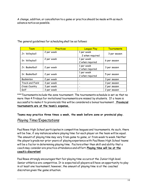A change, addition, or cancellation to a game or practice should be made with as much advance notice as possible.

| Team            | Practices  | <b>League Play</b>            | Tournaments  |
|-----------------|------------|-------------------------------|--------------|
| Jr. Volleyball  | 2 per week | 1 per week<br>2 when required | 3 per season |
| Sr. Volleyball  | 2 per week | 1 per week<br>2 when required | 6 per season |
| Jr. Basketball  | 2 per week | 1 per week<br>2 when required | 3 per season |
| Sr. Basketball  | 2 per week | 1 per week<br>2 when required | 5 per season |
| Badminton       | 2 per week |                               | 3 per season |
| Track and Field | 3 per week |                               | 3 per season |
| Cross Country   | 3 per week |                               | 2 per season |
| Golf            | 3 per week |                               | 2 per season |

The general guidelines for scheduling shall be as follows:

<span id="page-15-0"></span>\*\*\*Tournaments include the zone tournament. The tournaments schedule is set so that no more than 4 Fridays for invitational tournaments are missed by students. If a team is successful to make it to provincials this will be considered a bonus tournament. **Provincial tournaments are at the team's expense.** 

**Teams may practice three times a week, the week before zone or provincial play.** 

#### *Playing Time/Expectations*

Paul Rowe High School participates in competitive leagues and tournaments. As such, there will be few, if any instances where playing time for each player on the team will be equal. The amount of playing time may vary from game to game, or from week to week. Neither the player's grade nor prior years of playing experience with Paul Rowe High School teams will be a factor in determining playing time. Factors other than skill and ability that a coach may consider are practice attendance and effort. **Playing time will be at the coach's discretion!**

<span id="page-15-1"></span>Paul Rowe strongly encourages that fair playing time occurs at the Junior High level. Senior athletics are competitive. It is expected all players will have an opportunity to play in at least one tournament; however, the amount of playing time is at the coaches' discretion given the game situation.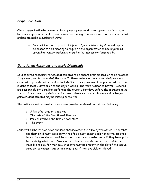#### *Communication*

Clear communication between coach and player, player and parent, parent and coach, and between players is critical to avoid misunderstanding. This communication can be initiated and maintained in a number of ways:

> Coaches shall hold a pre-season parent/guardian meeting. A parent rep must be chosen at this meeting to help with the organization of booking rooms, arranging transportation and ensuring that necessary forms are in.

#### <span id="page-16-0"></span>*Sanctioned Absences and Early Dismissals*

It is at times necessary for student athletes to be absent from classes, or to be released from class prior to the end of the class. In these instances, coaches or staff reps are required to provide notice to all school staff in a timely manner. It is preferred that this is done at least 2 days prior to the day of leaving. The more notice the better. Coaches are responsible for e-mailing staff reps the roster a few days before the tournament, so the staff rep can notify staff about excused absences for each tournament or league game student athletes may be missing school for.

The notice should be provided as early as possible, and must contain the following;

- A list of all students involved
- The date of the Sanctioned Absence
- Periods involved and time of departure
- The event
- <span id="page-16-1"></span>Students will be marked as an excused absence after this time by the office. If parents and their child must leave early, the office must be noticed prior to the assigned leaving time as students will be marked as an unexcused absence if they leave prior to the designated time. An unexcused absence would result in the student be ineligible to play for that day. Students must be present on the day of the league game or tournament. Students cannot play if they are sick or injured.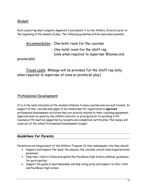# *Budget*

Each coach/rep shall complete Appendix C and submit it to the Athletic Director prior to the beginning of the season of play. The following guidelines will be used when possible.

Accommodation - One hotel room for the coaches

- One hotel room for the staff rep (only when required to supervise @zones and

provincials)

Travel costs -Mileage will be provided for the staff rep (only when required to supervise at zone or provincial play)

#### <span id="page-17-0"></span>*Professional Development*

It is in the best interests of the student athletes to have coaches who are well trained. In support of this, coaches may apply to be reimbursed for registration in **approved** professional development activities that are directly related to their coaching assignment. Approval must be given by the athletic director or principal prior to enrolling in PD. Courses or PD must be supported by receipts and completion certificates.This money will come out of the school Professional Development budget.

#### <span id="page-17-1"></span>*Guidelines for Parents*

Parents are an integral part of the Athletic Program. In that ambassador role they should:

- Support and respect the team, the players, the coaches, and all team organizational personnel.
- Help their child to follow and uphold the Paul Rowe High School athletes' guidelines for participation.
- Support the goals of sportsmanship and help bring pride and respect to their child and Paul Rowe High School.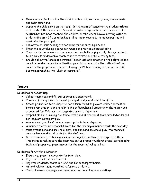- Make every effort to allow the child to attend all practices, games, tournaments and team functions.
- Support the child's role on the team. In the event of concerns the student athlete must contact the coach first. Second Parents/caregivers contact the coach. If a solution has not been reached, the athlete, parent, coach have a meeting with the athletic director. If a solution has still not been reached, the above parties will meet with the principal.
- Follow the 24 hour cooling off period before addressing a coach.
- Enter the court during a game scrimmage or practice unless asked to
- Cheer on the team in a positive manner; not verbally or physically abuse, confront, taunt, harass or demean a coach, student-athlete or official at any time.
- Should follow the "chain of command" (coach-athletic director-principal) to lodge a complaint and not conspire with other parents to undermine the authority of any coach or the program of course following the 24 hour cooling off period to pass before approaching the "chain of command".

# *Duties*

<span id="page-18-0"></span>Guidelines for Staff Rep

- Collect team fees and fill out appropriate paper work
- Create offsite approval form, get principal to sign and hand into office
- Create permission form, disperse permission forms to players, collect permission forms from students and hand into the office when all students on the roster are accounted for. This must be completed prior to departure
- Responsible for e-mailing the school staff and office about team excused absences for league/tournament play
- Announce a "good luck" announcement prior to team departing
- Announce the team's accomplishments on the morning announcements the next day
- Must attend zone and provincial play. For zone and provincial play, the team will cover mileage and hotel costs for the staff rep.
- Be in attendance for home games, or arrange for another staff rep to be there. This includes making sure the team has set up properly with ref stand, scorekeeping table and proper equipment needs for the sport eg)volleyball net

Guidelines for Athletic Director

- Ensure equipment is adequate for team play.
- Register teams for tournaments.
- Register students/teams in ASAA and for zones/provincials.
- Attend relevant zone meetings reference athletics.
- Conduct season opening parent meetings, and coaching team meetings.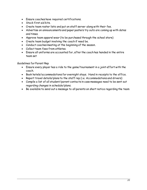- Ensure coaches have required certifications.
- Stock first aid kits.
- Create team roster lists and put on staff server along with their fee.
- Advertise on announcements and paper posters try outs are coming up with dates and times.
- Approve team apparel wear (to be purchased through the school store)
- Create team budget involving the coach if need be.
- Conduct coaches meeting at the beginning of the season.
- Collect team fees from athletes.
- Ensure all uniforms are accounted for, after the coach has handed in the entire team set

Guidelines for Parent Rep

- Ensure every player has a ride to the game/tournament in a joint effort with the coach.
- Book hotels/accommodations for overnight stays. Hand in receipts to the office.
- Report travel details/plans to the staff rep (i.e. Accommodations and drivers)
- Compile a list of all student/parent contacts in case messages need to be sent out regarding changes in schedule/plans.
- Be available to send out a message to all parents on short notice regarding the team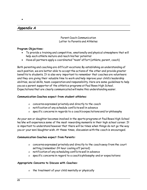#### *Appendix A*

 $\bullet$ 

Parent Coach Communication Letter to Parents and Athletes

#### **Program Objectives:**

- To provide a training and competitive, emotionally and physical atmosphere that will help each athlete mature and reach his/her potential
- Have all partners apply a coordinated "team" effort (athlete, parent, coach)

Both parenting and coaching are difficult vocations. By establishing an understanding of each position, we are better able to accept the actions of the other and provide greater benefits to students. It is also very important to remember that coaches are volunteers and they are giving their valuable time to work and help improve your child's leadership abilities, social skills, team cooperation and responsibility. Here are some guidelines to help you as a parent supporter of the athletics programs at Paul Rowe High School. Expectations that are clearly communicated will make this understanding easier.

#### **Communication Coaches expect from student athletes:**

- concerns expressed privately and directly to the coach
- notification of any schedule conflicts well in advance
- specific concerns in regards to a coach's expectations and/or philosophy

As your son or daughter becomes involved in the sports programs at Paul Rowe High School he/she will experience some of the most rewarding moments in their high school career. It is important to understand however that there will be times when things do not go the way you or your son/daughter wish. At these times, discussion with the coach is encouraged.

#### **Communication Coaches expect from Parents:**

- concerns expressed privately and directly to the coach away from the court setting (remember 24 hour cooling off period)
- notification of any scheduling conflicts well in advance
- $\sigma$  specific concerns in regard to a coach's philosophy and or expectations

#### **Appropriate Concerns to Discuss with Coaches:**

the treatment of your child mentally or physically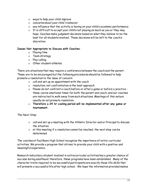- ways to help your child improve
- concerns about your child's behavior
- any influence that the activity is having on your child's academic performance
- It is difficult to accept your child's not playing as much as you or they may hope. Coaches make judgment decisions based on what they believe to be the best for all students involved. Those decisions will be left to the coach's discretion.

#### **Issues Not Appropriate to Discuss with Coaches**:

- o Playing time
- Team strategy
- o Play calling
- o Other student athletes

There are situations that may require a conference between the coach and the parent. These are to be encouraged but the following procedures should be followed to help promote a resolution to the issue of concern:

- $o$  call and set up an appointment with the coach
- resolution, not confrontation is the best approach
- Please do not confront a coach before or after a game or before a practice these can be emotional times for both the parent and coach, and our coaches are instructed to walk away from such situations. Meetings of this nature usually do not promote resolution.
- **Therefore a 24 hr cooling period will be implemented after any game or tournament.**

The Next Step:

- call and set up a meeting with the Athletic Director and or Principal to discuss the situation
- at this meeting if a resolution cannot be reached, the next step can be determined

The coaches at Paul Rowe High School recognize the importance of extra-curricular activities. We provide a program that strives to provide your child with a positive and meaningful experience.

Research indicates a student involved in extracurricular activities has a greater chance of success during adulthood; therefore, these programs have been established. Many of the character traits required to be successful participants are exactly those life skills that will promote a successful life after high school. We hope the information provided makes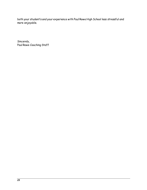both your student's and your experience with Paul Rowe High School less stressful and more enjoyable.

Sincerely, Paul Rowe Coaching Staff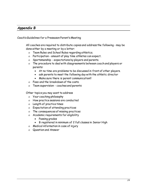#### <span id="page-23-0"></span>*Appendix B*

Coach's Guidelines for a Preseason Parent's Meeting

All coaches are required to distribute copies and address the following - may be done either by a meeting or by a letter:

- Team Rules and School Rules regarding athletics.
- Participation amount of play time athletes can expect.
- o Sportsmanship expectations by players and parents.
- The procedure to deal with disagreements between coach and players or parents:
	- At no time are problems to be discussed in front of other players.
	- ask parents to meet the following day with the athletic director
	- Make sure there is parent communication!!
- Fees and the breakdown of the costs.
- Team supervision coaches and parents

Other topics you may want to address

- Your coaching philosophy
- How practice sessions are conducted
- Length of practice times
- Expectation of attending practices
- The consequences of missing practices
- Academic requirements for eligibility
	- Passing grades
	- B registered in minimum of 2 full classes in Senior High
- Medical information in case of injury
- Question and Answer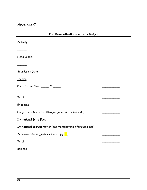# <span id="page-24-0"></span>*Appendix C*

| Paul Rowe Athletics - Activity Budget                           |  |
|-----------------------------------------------------------------|--|
| Activity:                                                       |  |
|                                                                 |  |
| Head Coach:                                                     |  |
|                                                                 |  |
| <b>Submission Date:</b>                                         |  |
| <b>Income</b>                                                   |  |
| Participation Fees: $\_\_\_\_\_$ X $\_\_\_\_\_\_\_\$ =          |  |
|                                                                 |  |
| Total:                                                          |  |
| <b>Expenses</b>                                                 |  |
| League Fees (includes all league games & tournaments)           |  |
| <b>Invitational Entry Fees</b>                                  |  |
| Invitational Transportation (see transportation for guidelines) |  |
| Accommodations (guidelines listed pg. 13)                       |  |
| Total:                                                          |  |
| <b>Balance:</b>                                                 |  |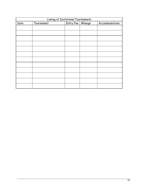| Listing of Invitational Tournaments |            |                     |  |                |
|-------------------------------------|------------|---------------------|--|----------------|
| Date                                | Tournament | Entry Fee   Mileage |  | Accommodations |
|                                     |            |                     |  |                |
|                                     |            |                     |  |                |
|                                     |            |                     |  |                |
|                                     |            |                     |  |                |
|                                     |            |                     |  |                |
|                                     |            |                     |  |                |
|                                     |            |                     |  |                |
|                                     |            |                     |  |                |
|                                     |            |                     |  |                |
|                                     |            |                     |  |                |
|                                     |            |                     |  |                |
|                                     |            |                     |  |                |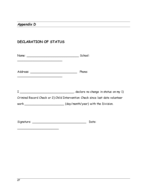# <span id="page-26-0"></span>**DECLARATION OF STATUS**

\_\_\_\_\_\_\_\_\_\_\_\_\_\_\_\_\_\_\_\_\_\_\_

| Name: School: |                                                                                |
|---------------|--------------------------------------------------------------------------------|
|               | Phone:                                                                         |
|               | Criminal Record Check or 2) Child Intervention Check since last date volunteer |
|               | work _____________________________(day/month/year) with the Division.          |
|               | Date:                                                                          |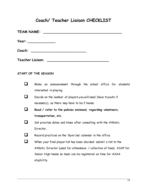# **Coach/ Teacher Liaison CHECKLIST**

| <b>TEAM NAME:</b>                                                                                                                          |                                                                                                                      |  |  |
|--------------------------------------------------------------------------------------------------------------------------------------------|----------------------------------------------------------------------------------------------------------------------|--|--|
|                                                                                                                                            | Year: _____________                                                                                                  |  |  |
| Coach:                                                                                                                                     | <u> 2002 - Johann John Stone, mars and de la provincia de la provincia de la provincia de la provincia de la pro</u> |  |  |
| Teacher Liaison:<br><u> 1980 - Johann Stoff, deutscher Stoff, deutscher Stoff, der Stoff, der Stoff, der Stoff, der Stoff, der Stoff, </u> |                                                                                                                      |  |  |
|                                                                                                                                            | START OF THE SEASON                                                                                                  |  |  |
|                                                                                                                                            | Make an announcement through the school office for students<br>interested in playing.                                |  |  |
| - 1                                                                                                                                        | Decide on the number of players you will need (have tryouts if                                                       |  |  |
|                                                                                                                                            | necessary), as there may have to be 2 teams.                                                                         |  |  |
|                                                                                                                                            | Read / refer to the policies enclosed, regarding volunteers,                                                         |  |  |
|                                                                                                                                            | transportation, etc.                                                                                                 |  |  |
|                                                                                                                                            | Set practise dates and times after consulting with the Athletic                                                      |  |  |
|                                                                                                                                            | Director.                                                                                                            |  |  |
|                                                                                                                                            | Record practices on the 'Gym Use' calendar in the office                                                             |  |  |
|                                                                                                                                            | When your final player list has been decided: submit a list to the                                                   |  |  |
|                                                                                                                                            | Athletic Director (used for attendance / collection of fees). ASAP for                                               |  |  |
|                                                                                                                                            | Senior High teams so team can be registered on time for ASAA                                                         |  |  |
|                                                                                                                                            | eligibility.                                                                                                         |  |  |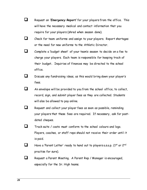- Request an *'Emergency Report'* for your players from the office. This will have the necessary medical and contact information that you require for your players (shred when season done).
- $\Box$  Check for team uniforms and assign to your players. Report shortages or the need for new uniforms to the Athletic Director.
- $\Box$  Complete a 'budget sheet' of your team's season to decide on a fee to charge your players. Each team is responsible for keeping track of their budget**.** Inquiries of finances may be directed to the school office.
- Discuss any fundraising ideas, as this would bring down your player's fees.
- $\Box$  An envelope will be provided to you from the school office, to collect, record, sign, and submit player fees as they are collected. Students will also be allowed to pay online.
- Request and collect your player fees as soon as possible, reminding your players that these fees are required. If necessary, ask for postdated cheques.
- Track suits / coats must conform to the school colours and logo. Players, coaches, or staff reps should not receive their order until it is paid.
- Have a 'Parent Letter' ready to hand out to players a.s.a.p.  $(1^{st}$  or  $2^{nd}$ practise for sure).
- Request a Parent Meeting. A Parent Rep / Manager is encouraged, especially for the Sr. High teams.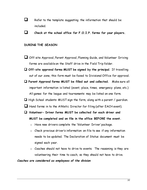- $\Box$  Refer to the template suggesting the information that should be included.
- **Check at the school office for F.O.I.P. forms for your players.**

#### **DURING THE SEASON**

- Off-site Approval, Parent Approval, Planning Guide, and Volunteer Driving forms are available on the Staff drive in the Field Trip folder.
- **Off-site approval forms MUST be signed by the principal**. If travelling out of our zone, this form must be faxed to Divisional Office for approval.
- **Parent Approval forms MUST be filled out and collected.** Make sure all important information is listed (event, place, times, emergency plans, etc.) All games for the league and tournaments may be listed on one form.
- $\Box$  High School students MUST sign the form, along with a parent / guardian.
- Hand forms in to the Athletic Director for filing (after EACH event).
- **Volunteer- Driver forms MUST be collected for each driver and MUST be completed and on file in the office BEFORE the event.** 
	- o Have new drivers complete the 'Volunteer Driver' package.
	- o Check previous driver's information on file to see if any information needs to be updated. The Declaration of Status document must be signed each year.
	- o Coaches should not have to drive to events. The reasoning is they are volunteering their time to coach, so they should not have to drive.

#### *Coaches are considered as employees of the division*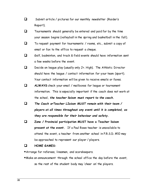- Submit article / pictures for our monthly newsletter (Raider's Report).
- $\Box$  Tournaments should generally be entered and paid for by the time your season begins (volleyball in the spring and basketball in the fall).
- To request payment for tournaments / rooms, etc., submit a copy of email or fax to the office to request a cheque.
- $\Box$  Golf, badminton, and track & field events should have information sent a few weeks before the event.
- $\Box$  Decide on league play (usually only Jr. High). The Athletic Director should have the league / contact information for your team (sport). Your contact information will be given to receive emails or faxes.
- **ALWAYS** check your email / mailboxes for league or tournament information. This is especially important if the coach does not work at the school, *the teacher liaison must report to the coach***.**
- *The Coach orTeacher LIaison MUST remain with their team / players at all times throughout any event until it is completed, as they are responsible for their behaviour and safety.*
- **Zone / Provincial participation MUST have a Teacher liaison present at the event.** If a Paul Rowe teacher is unavailable to attend the event, a teacher from another school in P.R.S.D. #10 may be approached to represent our player / players.

#### **HOME GAMES:**

Arrange for referees, linesmen, and scorekeepers.

Make an announcement through the school office the day before the event, so the rest of the student body may 'cheer on' the players.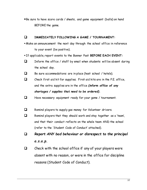Be sure to have score cards / sheets, and game equipment (balls) on hand BEFORE the game.

#### **IMMEDIATELY FOLLOWING A GAME / TOURNAMENT:**

- Make an announcement the next day through the school office in reference to your event (be positive).
- If applicable, report events to the Banner Post **BEFORE EACH EVENT:**
- $\Box$  Inform the office / staff by email when students will be absent during the school day.
- $\Box$  Be sure accommodations are in place (host school / hotels).
- $\Box$  Check first aid kit for supplies. First aid kits are in the P.E. office, and the extra supplies are in the office *(inform office of any shortages / supplies that need to be ordered).*
- $\Box$  Have necessary equipment ready for your game / tournament.
- E Remind players to supply gas money for Volunteer drivers.
- Remind players that they should work and stay together as a 'team', and that their conduct reflects on the whole team AND the school (refer to the 'Student Code of Conduct' attached).
- *Report ANY bad behaviour or disrespect to the principal a.s.a.p.*
- $\Box$  Check with the school office if any of your players were absent with no reason, or were in the office for discipline reasons (Student Code of Conduct).